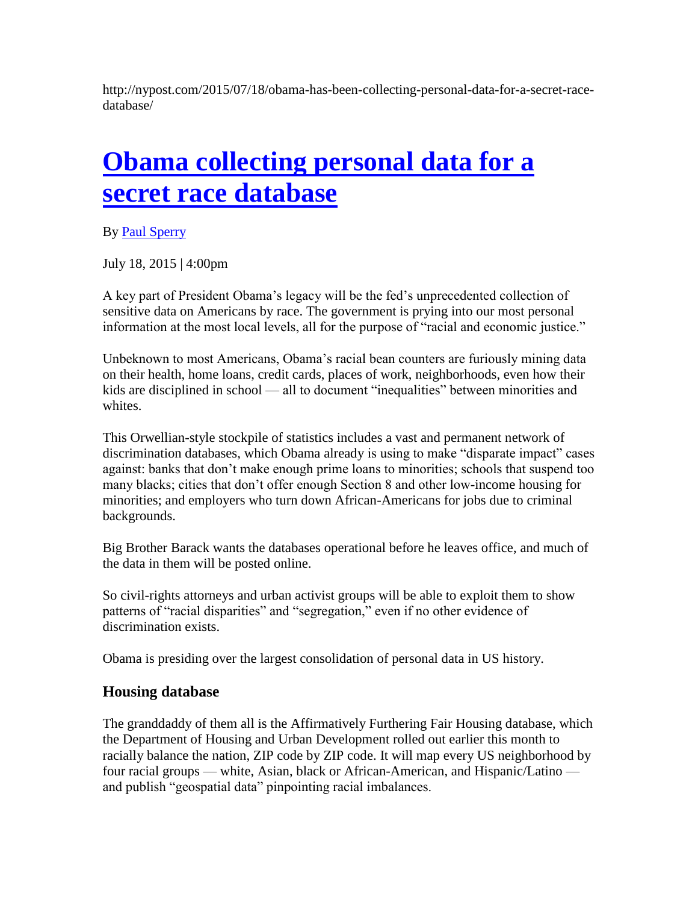http://nypost.com/2015/07/18/obama-has-been-collecting-personal-data-for-a-secret-racedatabase/

# **[Obama collecting personal data for a](http://nypost.com/2015/07/18/obama-has-been-collecting-personal-data-for-a-secret-race-database/)  [secret race](http://nypost.com/2015/07/18/obama-has-been-collecting-personal-data-for-a-secret-race-database/) database**

By [Paul Sperry](http://nypost.com/author/paul-sperry/)

July 18, 2015 | 4:00pm

A key part of President Obama's legacy will be the fed's unprecedented collection of sensitive data on Americans by race. The government is prying into our most personal information at the most local levels, all for the purpose of "racial and economic justice."

Unbeknown to most Americans, Obama's racial bean counters are furiously mining data on their health, home loans, credit cards, places of work, neighborhoods, even how their kids are disciplined in school — all to document "inequalities" between minorities and whites.

This Orwellian-style stockpile of statistics includes a vast and permanent network of discrimination databases, which Obama already is using to make "disparate impact" cases against: banks that don't make enough prime loans to minorities; schools that suspend too many blacks; cities that don't offer enough Section 8 and other low-income housing for minorities; and employers who turn down African-Americans for jobs due to criminal backgrounds.

Big Brother Barack wants the databases operational before he leaves office, and much of the data in them will be posted online.

So civil-rights attorneys and urban activist groups will be able to exploit them to show patterns of "racial disparities" and "segregation," even if no other evidence of discrimination exists.

Obama is presiding over the largest consolidation of personal data in US history.

# **Housing database**

The granddaddy of them all is the Affirmatively Furthering Fair Housing database, which the Department of Housing and Urban Development rolled out earlier this month to racially balance the nation, ZIP code by ZIP code. It will map every US neighborhood by four racial groups — white, Asian, black or African-American, and Hispanic/Latino and publish "geospatial data" pinpointing racial imbalances.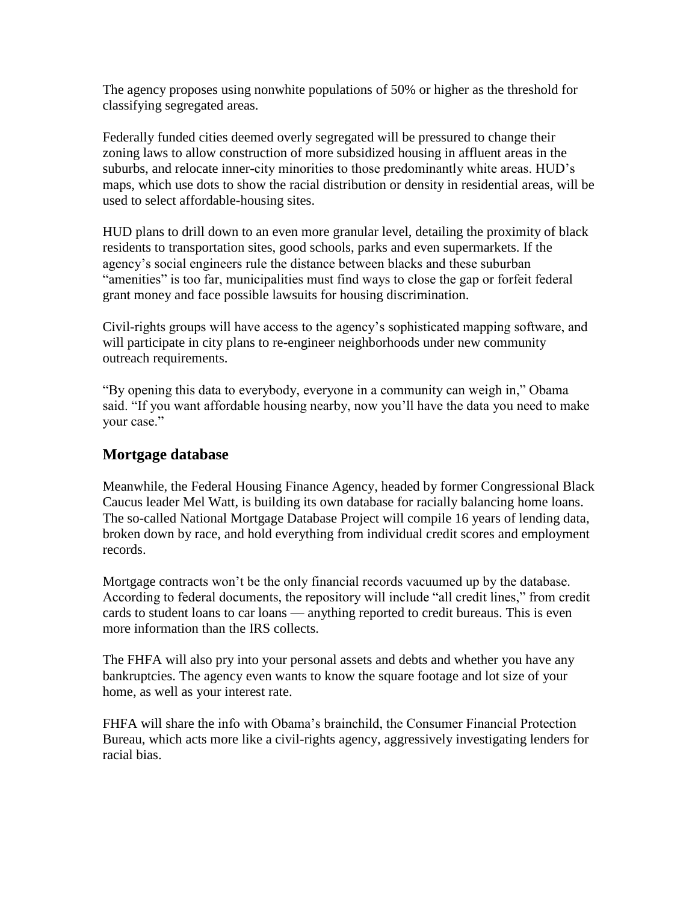The agency proposes using nonwhite populations of 50% or higher as the threshold for classifying segregated areas.

Federally funded cities deemed overly segregated will be pressured to change their zoning laws to allow construction of more subsidized housing in affluent areas in the suburbs, and relocate inner-city minorities to those predominantly white areas. HUD's maps, which use dots to show the racial distribution or density in residential areas, will be used to select affordable-housing sites.

HUD plans to drill down to an even more granular level, detailing the proximity of black residents to transportation sites, good schools, parks and even supermarkets. If the agency's social engineers rule the distance between blacks and these suburban "amenities" is too far, municipalities must find ways to close the gap or forfeit federal grant money and face possible lawsuits for housing discrimination.

Civil-rights groups will have access to the agency's sophisticated mapping software, and will participate in city plans to re-engineer neighborhoods under new community outreach requirements.

"By opening this data to everybody, everyone in a community can weigh in," Obama said. "If you want affordable housing nearby, now you'll have the data you need to make your case."

# **Mortgage database**

Meanwhile, the Federal Housing Finance Agency, headed by former Congressional Black Caucus leader Mel Watt, is building its own database for racially balancing home loans. The so-called National Mortgage Database Project will compile 16 years of lending data, broken down by race, and hold everything from individual credit scores and employment records.

Mortgage contracts won't be the only financial records vacuumed up by the database. According to federal documents, the repository will include "all credit lines," from credit cards to student loans to car loans — anything reported to credit bureaus. This is even more information than the IRS collects.

The FHFA will also pry into your personal assets and debts and whether you have any bankruptcies. The agency even wants to know the square footage and lot size of your home, as well as your interest rate.

FHFA will share the info with Obama's brainchild, the Consumer Financial Protection Bureau, which acts more like a civil-rights agency, aggressively investigating lenders for racial bias.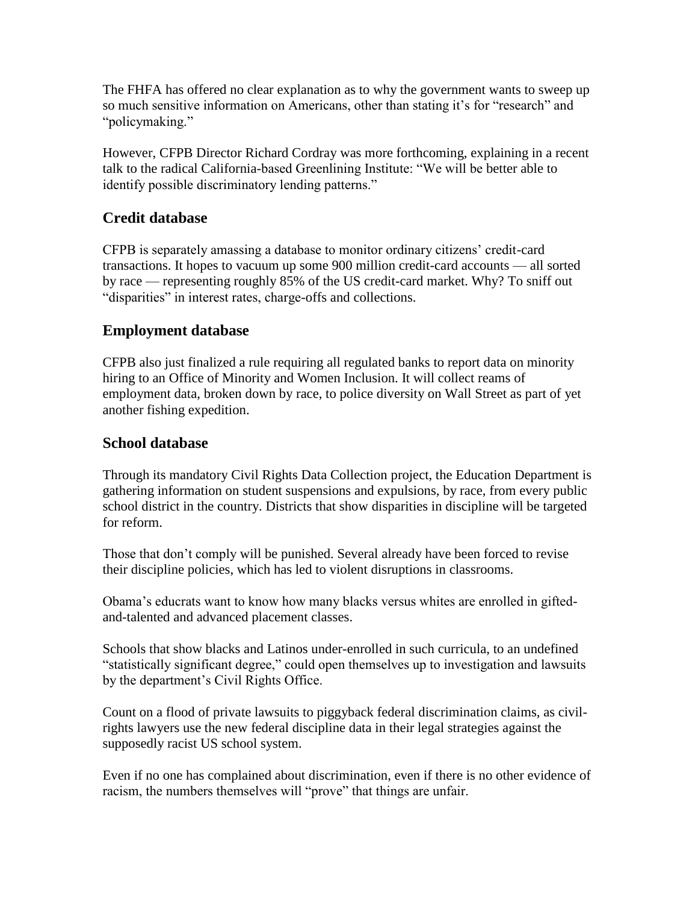The FHFA has offered no clear explanation as to why the government wants to sweep up so much sensitive information on Americans, other than stating it's for "research" and "policymaking."

However, CFPB Director Richard Cordray was more forthcoming, explaining in a recent talk to the radical California-based Greenlining Institute: "We will be better able to identify possible discriminatory lending patterns."

# **Credit database**

CFPB is separately amassing a database to monitor ordinary citizens' credit-card transactions. It hopes to vacuum up some 900 million credit-card accounts — all sorted by race — representing roughly 85% of the US credit-card market. Why? To sniff out "disparities" in interest rates, charge-offs and collections.

# **Employment database**

CFPB also just finalized a rule requiring all regulated banks to report data on minority hiring to an Office of Minority and Women Inclusion. It will collect reams of employment data, broken down by race, to police diversity on Wall Street as part of yet another fishing expedition.

# **School database**

Through its mandatory Civil Rights Data Collection project, the Education Department is gathering information on student suspensions and expulsions, by race, from every public school district in the country. Districts that show disparities in discipline will be targeted for reform.

Those that don't comply will be punished. Several already have been forced to revise their discipline policies, which has led to violent disruptions in classrooms.

Obama's educrats want to know how many blacks versus whites are enrolled in giftedand-talented and advanced placement classes.

Schools that show blacks and Latinos under-enrolled in such curricula, to an undefined "statistically significant degree," could open themselves up to investigation and lawsuits by the department's Civil Rights Office.

Count on a flood of private lawsuits to piggyback federal discrimination claims, as civilrights lawyers use the new federal discipline data in their legal strategies against the supposedly racist US school system.

Even if no one has complained about discrimination, even if there is no other evidence of racism, the numbers themselves will "prove" that things are unfair.